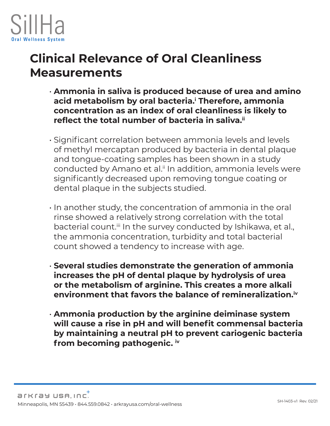

## **Clinical Relevance of Oral Cleanliness Measurements**

- **Ammonia in saliva is produced because of urea and amino acid metabolism by oral bacteria.i Therefore, ammonia concentration as an index of oral cleanliness is likely to reflect the total number of bacteria in saliva.ii**
- Significant correlation between ammonia levels and levels of methyl mercaptan produced by bacteria in dental plaque and tongue-coating samples has been shown in a study conducted by Amano et al.<sup>ii</sup> In addition, ammonia levels were significantly decreased upon removing tongue coating or dental plaque in the subjects studied.
- In another study, the concentration of ammonia in the oral rinse showed a relatively strong correlation with the total bacterial count.<sup>iii</sup> In the survey conducted by Ishikawa, et al., the ammonia concentration, turbidity and total bacterial count showed a tendency to increase with age.
- **Several studies demonstrate the generation of ammonia increases the pH of dental plaque by hydrolysis of urea or the metabolism of arginine. This creates a more alkali environment that favors the balance of remineralization.iv**
- **Ammonia production by the arginine deiminase system will cause a rise in pH and will benefit commensal bacteria by maintaining a neutral pH to prevent cariogenic bacteria from becoming pathogenic. iv**